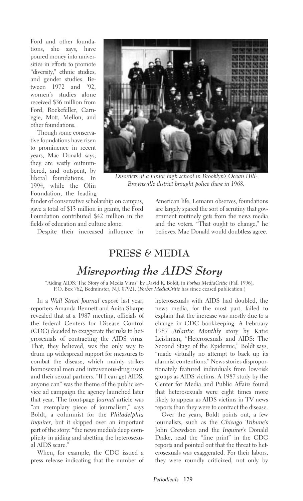Ford and other foundations, she says, have poured money into universities in efforts to promote "diversity," ethnic studies, and gender studies. Between 1972 and '92, women's studies alone received \$36 million from Ford, Rockefeller, Carnegie, Mott, Mellon, and other foundations.

Though some conservative foundations have risen to prominence in recent years, Mac Donald says, they are vastly outnumbered, and outspent, by liberal foundations. In 1994, while the Olin Foundation, the leading

funder of conservative scholarship on campus, gave a total of \$13 million in grants, the Ford Foundation contributed \$42 million in the fields of education and culture alone.

Despite their increased influence in



*Disorders at a junior high school in Brooklyn's Ocean Hill-Brownsville district brought police there in 1968.*

American life, Lemann observes, foundations are largely spared the sort of scrutiny that government routinely gets from the news media and the voters. "That ought to change," he believes. Mac Donald would doubtless agree.

## **PRESS & MEDIA** *Misreporting the AIDS Story*

"Aiding AIDS: The Story of a Media Virus" by David R. Boldt, in *Forbes MediaCritic* (Fall 1996), P.O. Box 762, Bedminster, N.J. 07921. (*Forbes MediaCritic* has since ceased publication.)

In a *Wall Street Journal* exposé last year, reporters Amanda Bennett and Anita Sharpe revealed that at a 1987 meeting, officials of the federal Centers for Disease Control (CDC) decided to exaggerate the risks to heterosexuals of contracting the AIDS virus. That, they believed, was the only way to drum up widespread support for measures to combat the disease, which mainly strikes homosexual men and intravenous-drug users and their sexual partners. "If I can get AIDS, anyone can" was the theme of the public service ad campaign the agency launched later that year. The front-page *Journal* article was "an exemplary piece of journalism," says Boldt, a columnist for the *Philadelphia Inquirer*, but it skipped over an important part of the story: "the news media's deep complicity in aiding and abetting the heterosexual AIDS scare."

When, for example, the CDC issued a press release indicating that the number of

heterosexuals with AIDS had doubled, the news media, for the most part, failed to explain that the increase was mostly due to a change in CDC bookkeeping. A February 1987 *Atlantic Monthly* story by Katie Leishman, "Heterosexuals and AIDS: The Second Stage of the Epidemic," Boldt says, "made virtually no attempt to back up its alarmist contentions." News stories disproportionately featured individuals from low-risk groups as AIDS victims. A 1987 study by the Center for Media and Public Affairs found that heterosexuals were eight times more likely to appear as AIDS victims in TV news reports than they were to contract the disease.

Over the years, Boldt points out, a few journalists, such as the *Chicago Tribune*'s John Crewdson and the *Inquirer*'s Donald Drake, read the "fine print" in the CDC reports and pointed out that the threat to heterosexuals was exaggerated. For their labors, they were roundly criticized, not only by